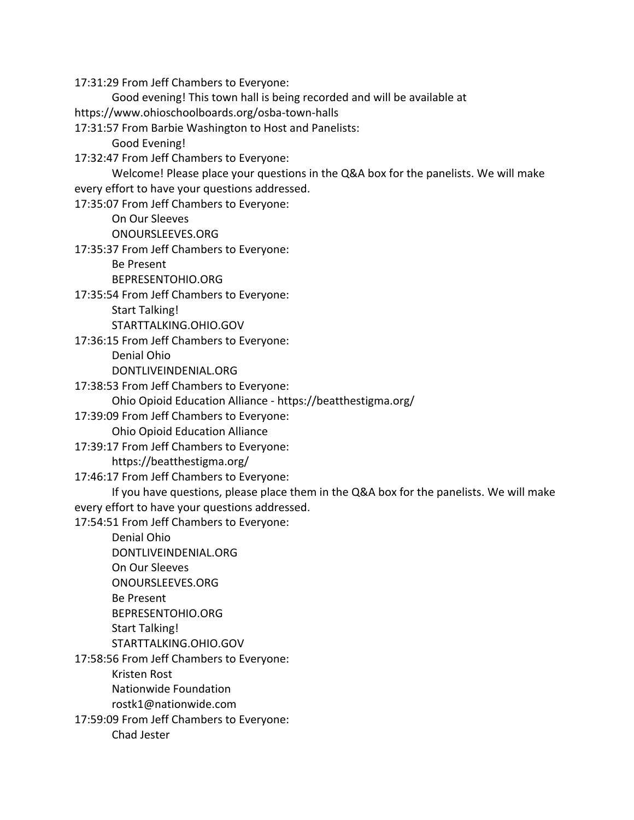17:31:29 From Jeff Chambers to Everyone:

Good evening! This town hall is being recorded and will be available at

https://www.ohioschoolboards.org/osba-town-halls

17:31:57 From Barbie Washington to Host and Panelists:

Good Evening!

17:32:47 From Jeff Chambers to Everyone:

Welcome! Please place your questions in the Q&A box for the panelists. We will make every effort to have your questions addressed.

17:35:07 From Jeff Chambers to Everyone:

On Our Sleeves

ONOURSLEEVES.ORG

17:35:37 From Jeff Chambers to Everyone:

Be Present

BEPRESENTOHIO.ORG

17:35:54 From Jeff Chambers to Everyone:

Start Talking!

STARTTALKING.OHIO.GOV

17:36:15 From Jeff Chambers to Everyone:

Denial Ohio

DONTLIVEINDENIAL.ORG

17:38:53 From Jeff Chambers to Everyone:

Ohio Opioid Education Alliance - https://beatthestigma.org/

17:39:09 From Jeff Chambers to Everyone:

Ohio Opioid Education Alliance

17:39:17 From Jeff Chambers to Everyone:

https://beatthestigma.org/

17:46:17 From Jeff Chambers to Everyone:

If you have questions, please place them in the Q&A box for the panelists. We will make every effort to have your questions addressed.

17:54:51 From Jeff Chambers to Everyone:

Denial Ohio DONTLIVEINDENIAL.ORG On Our Sleeves ONOURSLEEVES.ORG Be Present BEPRESENTOHIO.ORG Start Talking! STARTTALKING.OHIO.GOV 17:58:56 From Jeff Chambers to Everyone: Kristen Rost Nationwide Foundation rostk1@nationwide.com

17:59:09 From Jeff Chambers to Everyone:

Chad Jester